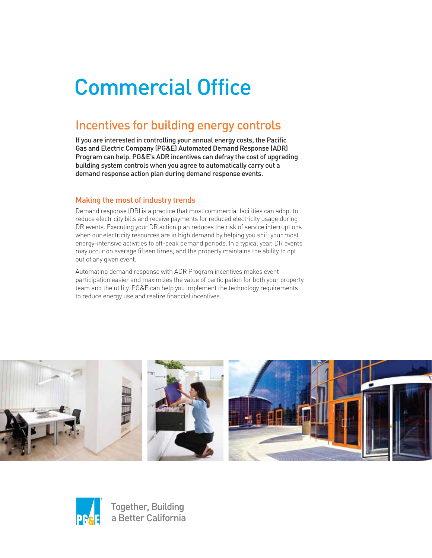# Commercial Office

# Incentives for building energy controls

If you are interested in controlling your annual energy costs, the Pacific Gas and Electric Company (PG&E) Automated Demand Response (ADR) Program can help. PG&E's ADR incentives can defray the cost of upgrading building system controls when you agree to automatically carry out a demand response action plan during demand response events.

# Making the most of industry trends

Demand response (DR) is a practice that most commercial facilities can adopt to reduce electricity bills and receive payments for reduced electricity usage during DR events. Executing your DR action plan reduces the risk of service interruptions when our electricity resources are in high demand by helping you shift your most energy-intensive activities to off-peak demand periods. In a typical year, DR events may occur on average fifteen times, and the property maintains the ability to opt out of any given event.

Automating demand response with ADR Program incentives makes event participation easier and maximizes the value of participation for both your property team and the utility. PG&E can help you implement the technology requirements to reduce energy use and realize financial incentives.